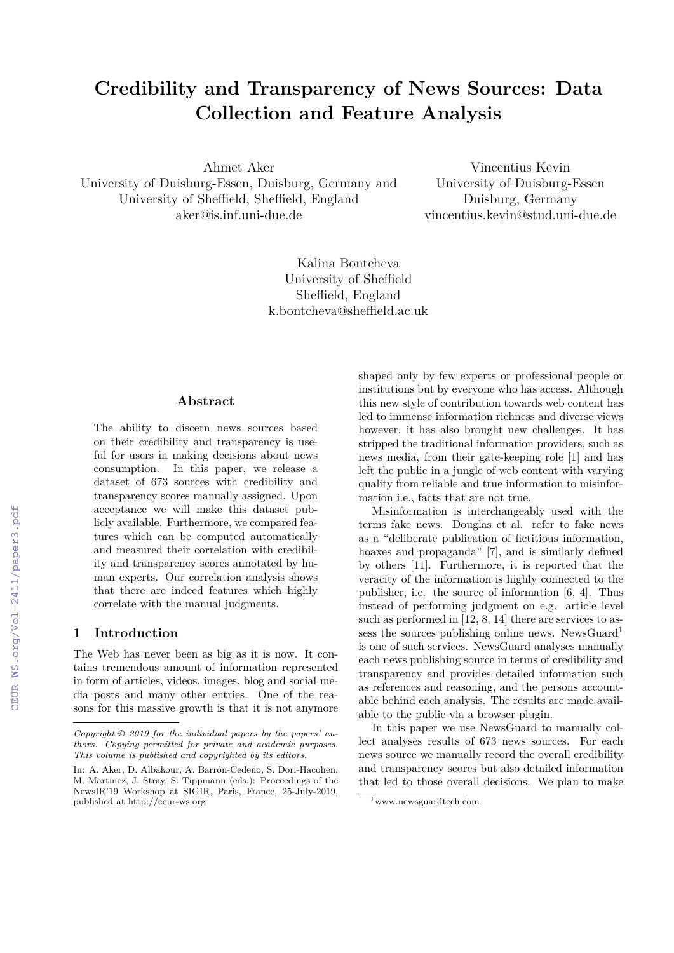# **Credibility and Transparency of News Sources: Data Collection and Feature Analysis**

Ahmet Aker

University of Duisburg-Essen, Duisburg, Germany and University of Sheffield, Sheffield, England aker@is.inf.uni-due.de

Vincentius Kevin University of Duisburg-Essen Duisburg, Germany vincentius.kevin@stud.uni-due.de

Kalina Bontcheva University of Sheffield Sheffield, England k.bontcheva@sheffield.ac.uk

## **Abstract**

The ability to discern news sources based on their credibility and transparency is useful for users in making decisions about news consumption. In this paper, we release a dataset of 673 sources with credibility and transparency scores manually assigned. Upon acceptance we will make this dataset publicly available. Furthermore, we compared features which can be computed automatically and measured their correlation with credibility and transparency scores annotated by human experts. Our correlation analysis shows that there are indeed features which highly correlate with the manual judgments.

#### **1 Introduction**

The Web has never been as big as it is now. It contains tremendous amount of information represented in form of articles, videos, images, blog and social media posts and many other entries. One of the reasons for this massive growth is that it is not anymore

shaped only by few experts or professional people or institutions but by everyone who has access. Although this new style of contribution towards web content has led to immense information richness and diverse views however, it has also brought new challenges. It has stripped the traditional information providers, such as news media, from their gate-keeping role [1] and has left the public in a jungle of web content with varying quality from reliable and true information to misinformation i.e., facts that are not true.

Misinformation is interchangeably used with the terms fake news. Douglas et al. refer to fake news as a "deliberate publication of fictitious information, hoaxes and propaganda" [7], and is similarly defined by others [11]. Furthermore, it is reported that the veracity of the information is highly connected to the publisher, i.e. the source of information [6, 4]. Thus instead of performing judgment on e.g. article level such as performed in [12, 8, 14] there are services to assess the sources publishing online news. NewsGuard<sup>1</sup> is one of such services. NewsGuard analyses manually each news publishing source in terms of credibility and transparency and provides detailed information such as references and reasoning, and the persons accountable behind each analysis. The results are made available to the public via a browser plugin.

In this paper we use NewsGuard to manually collect analyses results of 673 news sources. For each news source we manually record the overall credibility and transparency scores but also detailed information that led to those overall decisions. We plan to make

*Copyright © 2019 for the individual papers by the papers' authors. Copying permitted for private and academic purposes. This volume is published and copyrighted by its editors.*

In: A. Aker, D. Albakour, A. Barrón-Cedeño, S. Dori-Hacohen, M. Martinez, J. Stray, S. Tippmann (eds.): Proceedings of the NewsIR'19 Workshop at SIGIR, Paris, France, 25-July-2019, published at http://ceur-ws.org

<sup>1</sup>www.newsguardtech.com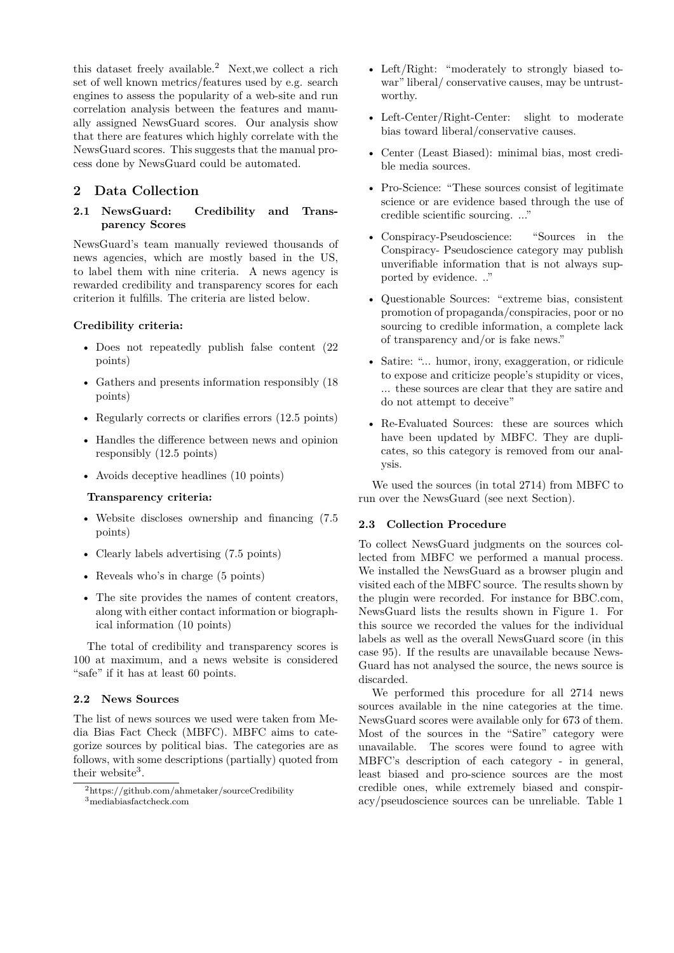this dataset freely available.<sup>2</sup> Next,we collect a rich set of well known metrics/features used by e.g. search engines to assess the popularity of a web-site and run correlation analysis between the features and manually assigned NewsGuard scores. Our analysis show that there are features which highly correlate with the NewsGuard scores. This suggests that the manual process done by NewsGuard could be automated.

## **2 Data Collection**

## **2.1 NewsGuard: Credibility and Transparency Scores**

NewsGuard's team manually reviewed thousands of news agencies, which are mostly based in the US, to label them with nine criteria. A news agency is rewarded credibility and transparency scores for each criterion it fulfills. The criteria are listed below.

#### **Credibility criteria:**

- Does not repeatedly publish false content (22 points)
- Gathers and presents information responsibly (18 points)
- Regularly corrects or clarifies errors  $(12.5 \text{ points})$
- Handles the difference between news and opinion responsibly (12.5 points)
- Avoids deceptive headlines (10 points)

#### **Transparency criteria:**

- Website discloses ownership and financing (7.5 points)
- Clearly labels advertising (7.5 points)
- Reveals who's in charge (5 points)
- The site provides the names of content creators, along with either contact information or biographical information (10 points)

The total of credibility and transparency scores is 100 at maximum, and a news website is considered "safe" if it has at least 60 points.

#### **2.2 News Sources**

The list of news sources we used were taken from Media Bias Fact Check (MBFC). MBFC aims to categorize sources by political bias. The categories are as follows, with some descriptions (partially) quoted from their website<sup>3</sup>.

- Left/Right: "moderately to strongly biased towar" liberal/ conservative causes, may be untrustworthy.
- Left-Center/Right-Center: slight to moderate bias toward liberal/conservative causes.
- Center (Least Biased): minimal bias, most credible media sources.
- Pro-Science: "These sources consist of legitimate science or are evidence based through the use of credible scientific sourcing. ..."
- Conspiracy-Pseudoscience: "Sources in the Conspiracy- Pseudoscience category may publish unverifiable information that is not always supported by evidence. .."
- Questionable Sources: "extreme bias, consistent promotion of propaganda/conspiracies, poor or no sourcing to credible information, a complete lack of transparency and/or is fake news."
- Satire: "... humor, irony, exaggeration, or ridicule to expose and criticize people's stupidity or vices, ... these sources are clear that they are satire and do not attempt to deceive"
- Re-Evaluated Sources: these are sources which have been updated by MBFC. They are duplicates, so this category is removed from our analysis.

We used the sources (in total 2714) from MBFC to run over the NewsGuard (see next Section).

#### **2.3 Collection Procedure**

To collect NewsGuard judgments on the sources collected from MBFC we performed a manual process. We installed the NewsGuard as a browser plugin and visited each of the MBFC source. The results shown by the plugin were recorded. For instance for BBC.com, NewsGuard lists the results shown in Figure 1. For this source we recorded the values for the individual labels as well as the overall NewsGuard score (in this case 95). If the results are unavailable because News-Guard has not analysed the source, the news source is discarded.

We performed this procedure for all 2714 news sources available in the nine categories at the time. NewsGuard scores were available only for 673 of them. Most of the sources in the "Satire" category were unavailable. The scores were found to agree with MBFC's description of each category - in general, least biased and pro-science sources are the most credible ones, while extremely biased and conspiracy/pseudoscience sources can be unreliable. Table 1

<sup>2</sup>https://github.com/ahmetaker/sourceCredibility <sup>3</sup>mediabiasfactcheck.com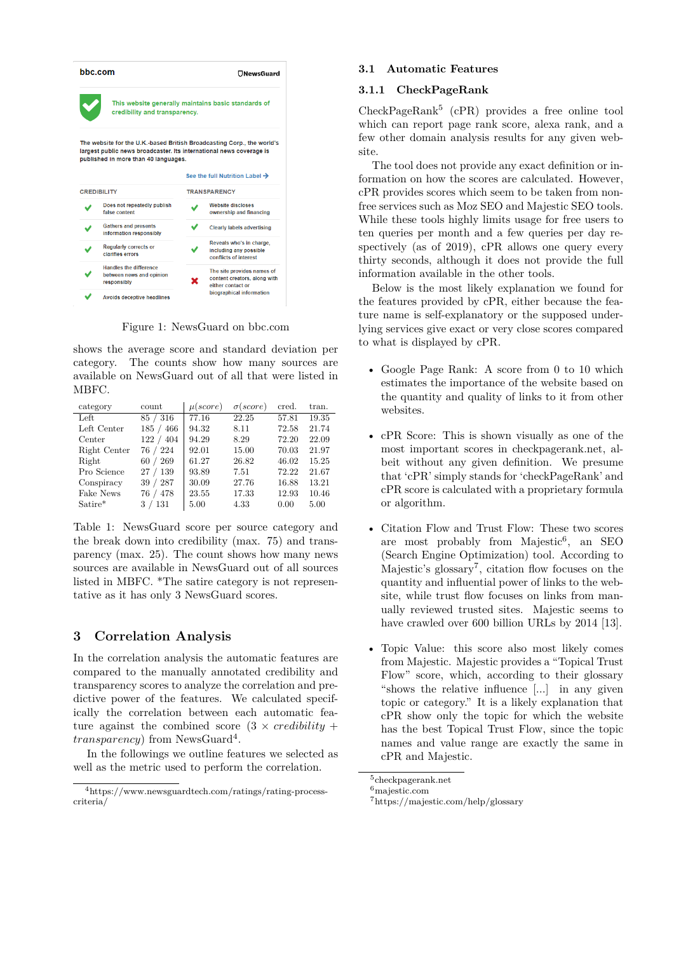| hhc.com            |                                                                                                                                                                                       | $\Box$ NewsGuard    |                                                                                 |  |  |
|--------------------|---------------------------------------------------------------------------------------------------------------------------------------------------------------------------------------|---------------------|---------------------------------------------------------------------------------|--|--|
|                    | credibility and transparency.                                                                                                                                                         |                     | This website generally maintains basic standards of                             |  |  |
|                    | The website for the U.K.-based British Broadcasting Corp., the world's<br>largest public news broadcaster. Its international news coverage is<br>published in more than 40 languages. |                     | See the full Nutrition Label $\rightarrow$                                      |  |  |
| <b>CREDIBILITY</b> |                                                                                                                                                                                       | <b>TRANSPARENCY</b> |                                                                                 |  |  |
|                    | Does not repeatedly publish<br>false content                                                                                                                                          |                     | <b>Website discloses</b><br>ownership and financing                             |  |  |
|                    | <b>Gathers and presents</b><br>information responsibly                                                                                                                                |                     | <b>Clearly labels advertising</b>                                               |  |  |
|                    | <b>Regularly corrects or</b><br>clarifies errors                                                                                                                                      |                     | Reveals who's in charge.<br>including any possible<br>conflicts of interest     |  |  |
|                    | Handles the difference<br>between news and opinion<br>responsibly                                                                                                                     | ĸ                   | The site provides names of<br>content creators, along with<br>either contact or |  |  |
|                    |                                                                                                                                                                                       |                     | biographical information                                                        |  |  |

Figure 1: NewsGuard on bbc.com

shows the average score and standard deviation per category. The counts show how many sources are available on NewsGuard out of all that were listed in MBFC.

| category     | count     | $\mu(score)$ | $\sigma (score)$ | cred. | tran. |
|--------------|-----------|--------------|------------------|-------|-------|
| Left         | 85 / 316  | 77.16        | 22.25            | 57.81 | 19.35 |
| Left Center  | 185 / 466 | 94.32        | 8.11             | 72.58 | 21.74 |
| Center       | 122 / 404 | 94.29        | 8.29             | 72.20 | 22.09 |
| Right Center | 76 / 224  | 92.01        | 15.00            | 70.03 | 21.97 |
| Right        | 60 / 269  | 61.27        | 26.82            | 46.02 | 15.25 |
| Pro Science  | 27/139    | 93.89        | 7.51             | 72.22 | 21.67 |
| Conspiracy   | 39 / 287  | 30.09        | 27.76            | 16.88 | 13.21 |
| Fake News    | 76 / 478  | 23.55        | 17.33            | 12.93 | 10.46 |
| $Satire*$    | 3/131     | 5.00         | 4.33             | 0.00  | 5.00  |

Table 1: NewsGuard score per source category and the break down into credibility (max. 75) and transparency (max. 25). The count shows how many news sources are available in NewsGuard out of all sources listed in MBFC. \*The satire category is not representative as it has only 3 NewsGuard scores.

## **3 Correlation Analysis**

In the correlation analysis the automatic features are compared to the manually annotated credibility and transparency scores to analyze the correlation and predictive power of the features. We calculated specifically the correlation between each automatic feature against the combined score  $(3 \times \text{creditivity})$ *transparency*) from NewsGuard<sup>4</sup> .

In the followings we outline features we selected as well as the metric used to perform the correlation.

#### **3.1 Automatic Features**

## **3.1.1 CheckPageRank**

CheckPageRank<sup>5</sup> (cPR) provides a free online tool which can report page rank score, alexa rank, and a few other domain analysis results for any given website.

The tool does not provide any exact definition or information on how the scores are calculated. However, cPR provides scores which seem to be taken from nonfree services such as Moz SEO and Majestic SEO tools. While these tools highly limits usage for free users to ten queries per month and a few queries per day respectively (as of 2019), cPR allows one query every thirty seconds, although it does not provide the full information available in the other tools.

Below is the most likely explanation we found for the features provided by cPR, either because the feature name is self-explanatory or the supposed underlying services give exact or very close scores compared to what is displayed by cPR.

- Google Page Rank: A score from 0 to 10 which estimates the importance of the website based on the quantity and quality of links to it from other websites.
- cPR Score: This is shown visually as one of the most important scores in checkpagerank.net, albeit without any given definition. We presume that 'cPR' simply stands for 'checkPageRank' and cPR score is calculated with a proprietary formula or algorithm.
- Citation Flow and Trust Flow: These two scores are most probably from Majestic<sup>6</sup> , an SEO (Search Engine Optimization) tool. According to Majestic's glossary<sup>7</sup>, citation flow focuses on the quantity and influential power of links to the website, while trust flow focuses on links from manually reviewed trusted sites. Majestic seems to have crawled over 600 billion URLs by 2014 [13].
- Topic Value: this score also most likely comes from Majestic. Majestic provides a "Topical Trust Flow" score, which, according to their glossary "shows the relative influence [...] in any given topic or category." It is a likely explanation that cPR show only the topic for which the website has the best Topical Trust Flow, since the topic names and value range are exactly the same in cPR and Majestic.

<sup>4</sup>https://www.newsguardtech.com/ratings/rating-processcriteria/

 $^5\rm{checkpagerank.net}$ 

 $6$ majestic.com

<sup>7</sup>https://majestic.com/help/glossary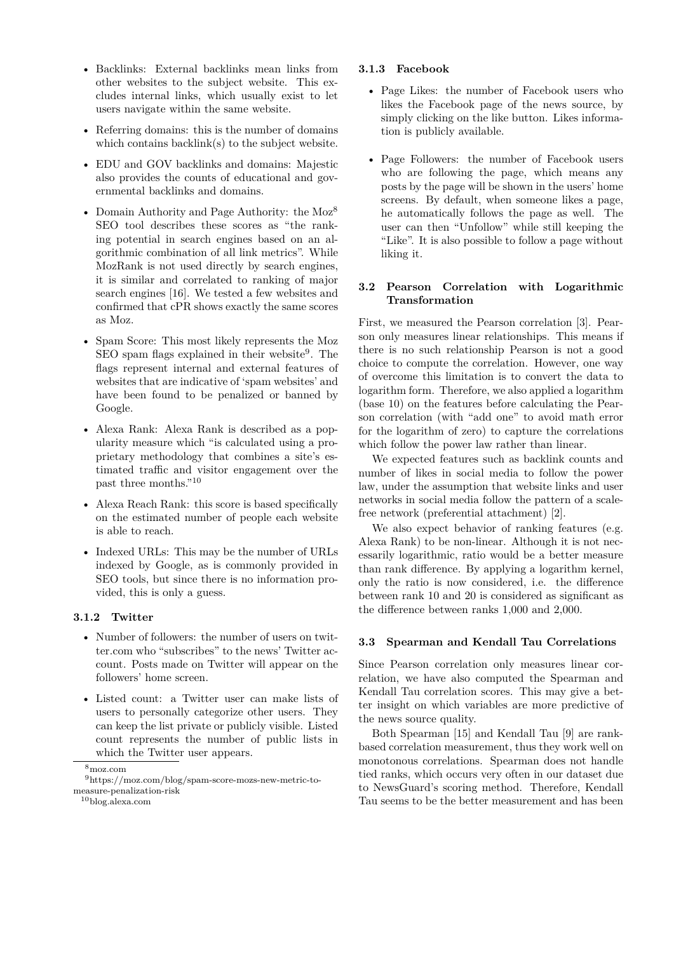- Backlinks: External backlinks mean links from other websites to the subject website. This excludes internal links, which usually exist to let users navigate within the same website.
- Referring domains: this is the number of domains which contains backlink(s) to the subject website.
- EDU and GOV backlinks and domains: Majestic also provides the counts of educational and governmental backlinks and domains.
- Domain Authority and Page Authority: the Moz<sup>8</sup> SEO tool describes these scores as "the ranking potential in search engines based on an algorithmic combination of all link metrics". While MozRank is not used directly by search engines, it is similar and correlated to ranking of major search engines [16]. We tested a few websites and confirmed that cPR shows exactly the same scores as Moz.
- Spam Score: This most likely represents the Moz SEO spam flags explained in their website<sup>9</sup>. The flags represent internal and external features of websites that are indicative of 'spam websites' and have been found to be penalized or banned by Google.
- Alexa Rank: Alexa Rank is described as a popularity measure which "is calculated using a proprietary methodology that combines a site's estimated traffic and visitor engagement over the past three months."<sup>10</sup>
- Alexa Reach Rank: this score is based specifically on the estimated number of people each website is able to reach.
- Indexed URLs: This may be the number of URLs indexed by Google, as is commonly provided in SEO tools, but since there is no information provided, this is only a guess.

## **3.1.2 Twitter**

- Number of followers: the number of users on twitter.com who "subscribes" to the news' Twitter account. Posts made on Twitter will appear on the followers' home screen.
- Listed count: a Twitter user can make lists of users to personally categorize other users. They can keep the list private or publicly visible. Listed count represents the number of public lists in which the Twitter user appears.

#### **3.1.3 Facebook**

- Page Likes: the number of Facebook users who likes the Facebook page of the news source, by simply clicking on the like button. Likes information is publicly available.
- Page Followers: the number of Facebook users who are following the page, which means any posts by the page will be shown in the users' home screens. By default, when someone likes a page, he automatically follows the page as well. The user can then "Unfollow" while still keeping the "Like". It is also possible to follow a page without liking it.

#### **3.2 Pearson Correlation with Logarithmic Transformation**

First, we measured the Pearson correlation [3]. Pearson only measures linear relationships. This means if there is no such relationship Pearson is not a good choice to compute the correlation. However, one way of overcome this limitation is to convert the data to logarithm form. Therefore, we also applied a logarithm (base 10) on the features before calculating the Pearson correlation (with "add one" to avoid math error for the logarithm of zero) to capture the correlations which follow the power law rather than linear.

We expected features such as backlink counts and number of likes in social media to follow the power law, under the assumption that website links and user networks in social media follow the pattern of a scalefree network (preferential attachment) [2].

We also expect behavior of ranking features (e.g. Alexa Rank) to be non-linear. Although it is not necessarily logarithmic, ratio would be a better measure than rank difference. By applying a logarithm kernel, only the ratio is now considered, i.e. the difference between rank 10 and 20 is considered as significant as the difference between ranks 1,000 and 2,000.

#### **3.3 Spearman and Kendall Tau Correlations**

Since Pearson correlation only measures linear correlation, we have also computed the Spearman and Kendall Tau correlation scores. This may give a better insight on which variables are more predictive of the news source quality.

Both Spearman [15] and Kendall Tau [9] are rankbased correlation measurement, thus they work well on monotonous correlations. Spearman does not handle tied ranks, which occurs very often in our dataset due to NewsGuard's scoring method. Therefore, Kendall Tau seems to be the better measurement and has been

<sup>8</sup>moz.com

 $^9{\rm https://moz.com/blog/spam-score-mozs-new-metric-to-}$ measure-penalization-risk

<sup>10</sup>blog.alexa.com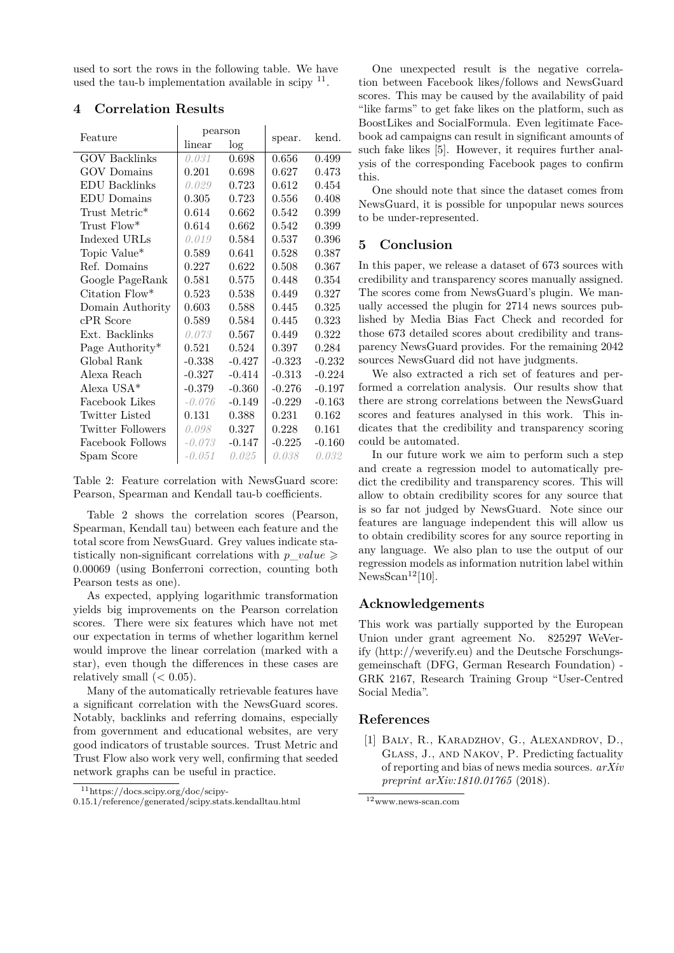used to sort the rows in the following table. We have used the tau-b implementation available in scipy  $11$ .

| Feature                   | pearson  |          | spear.   | kend.    |  |
|---------------------------|----------|----------|----------|----------|--|
|                           | linear   | log      |          |          |  |
| <b>GOV Backlinks</b>      | 0.031    | 0.698    | 0.656    | 0.499    |  |
| GOV Domains               | 0.201    | 0.698    | 0.627    | 0.473    |  |
| <b>EDU</b> Backlinks      | 0.029    | 0.723    | 0.612    | 0.454    |  |
| <b>EDU</b> Domains        | 0.305    | 0.723    | 0.556    | 0.408    |  |
| Trust Metric <sup>*</sup> | 0.614    | 0.662    | 0.542    | 0.399    |  |
| Trust $Flow^*$            | 0.614    | 0.662    | 0.542    | 0.399    |  |
| Indexed URLs              | 0.019    | 0.584    | 0.537    | 0.396    |  |
| Topic Value*              | 0.589    | 0.641    | 0.528    | 0.387    |  |
| Ref. Domains              | 0.227    | 0.622    | 0.508    | 0.367    |  |
| Google PageRank           | 0.581    | 0.575    | 0.448    | 0.354    |  |
| Citation Flow*            | 0.523    | 0.538    | 0.449    | 0.327    |  |
| Domain Authority          | 0.603    | 0.588    | 0.445    | 0.325    |  |
| $cPR$ Score               | 0.589    | 0.584    | 0.445    | 0.323    |  |
| Ext. Backlinks            | 0.073    | 0.567    | 0.449    | 0.322    |  |
| Page Authority*           | 0.521    | 0.524    | 0.397    | 0.284    |  |
| Global Rank               | $-0.338$ | $-0.427$ | $-0.323$ | $-0.232$ |  |
| Alexa Reach               | $-0.327$ | $-0.414$ | $-0.313$ | $-0.224$ |  |
| Alexa USA $*$             | $-0.379$ | $-0.360$ | $-0.276$ | $-0.197$ |  |
| Facebook Likes            | $-0.076$ | $-0.149$ | $-0.229$ | $-0.163$ |  |
| <b>Twitter Listed</b>     | 0.131    | 0.388    | 0.231    | 0.162    |  |
| <b>Twitter Followers</b>  | 0.098    | 0.327    | 0.228    | 0.161    |  |
| Facebook Follows          | -0.073   | $-0.147$ | $-0.225$ | $-0.160$ |  |
| Spam Score                | $-0.051$ | 0.025    | 0.038    | 0.032    |  |

## **4 Correlation Results**

Table 2: Feature correlation with NewsGuard score: Pearson, Spearman and Kendall tau-b coefficients.

Table 2 shows the correlation scores (Pearson, Spearman, Kendall tau) between each feature and the total score from NewsGuard. Grey values indicate statistically non-significant correlations with  $p$  *value*  $\geq$ 0*.*00069 (using Bonferroni correction, counting both Pearson tests as one).

As expected, applying logarithmic transformation yields big improvements on the Pearson correlation scores. There were six features which have not met our expectation in terms of whether logarithm kernel would improve the linear correlation (marked with a star), even though the differences in these cases are relatively small  $( $0.05$ ).$ 

Many of the automatically retrievable features have a significant correlation with the NewsGuard scores. Notably, backlinks and referring domains, especially from government and educational websites, are very good indicators of trustable sources. Trust Metric and Trust Flow also work very well, confirming that seeded network graphs can be useful in practice.

One unexpected result is the negative correlation between Facebook likes/follows and NewsGuard scores. This may be caused by the availability of paid "like farms" to get fake likes on the platform, such as BoostLikes and SocialFormula. Even legitimate Facebook ad campaigns can result in significant amounts of such fake likes [5]. However, it requires further analysis of the corresponding Facebook pages to confirm this.

One should note that since the dataset comes from NewsGuard, it is possible for unpopular news sources to be under-represented.

#### **5 Conclusion**

In this paper, we release a dataset of 673 sources with credibility and transparency scores manually assigned. The scores come from NewsGuard's plugin. We manually accessed the plugin for 2714 news sources published by Media Bias Fact Check and recorded for those 673 detailed scores about credibility and transparency NewsGuard provides. For the remaining 2042 sources NewsGuard did not have judgments.

We also extracted a rich set of features and performed a correlation analysis. Our results show that there are strong correlations between the NewsGuard scores and features analysed in this work. This indicates that the credibility and transparency scoring could be automated.

In our future work we aim to perform such a step and create a regression model to automatically predict the credibility and transparency scores. This will allow to obtain credibility scores for any source that is so far not judged by NewsGuard. Note since our features are language independent this will allow us to obtain credibility scores for any source reporting in any language. We also plan to use the output of our regression models as information nutrition label within  $N$ ewsScan<sup>12</sup>[10].

## **Acknowledgements**

This work was partially supported by the European Union under grant agreement No. 825297 WeVerify (http://weverify.eu) and the Deutsche Forschungsgemeinschaft (DFG, German Research Foundation) - GRK 2167, Research Training Group "User-Centred Social Media".

#### **References**

[1] Baly, R., Karadzhov, G., Alexandrov, D., Glass, J., and Nakov, P. Predicting factuality of reporting and bias of news media sources. *arXiv preprint arXiv:1810.01765* (2018).

 $11$ https://docs.scipy.org/doc/scipy-

<sup>0.15.1/</sup>reference/generated/scipy.stats.kendalltau.html

<sup>12</sup>www.news-scan.com